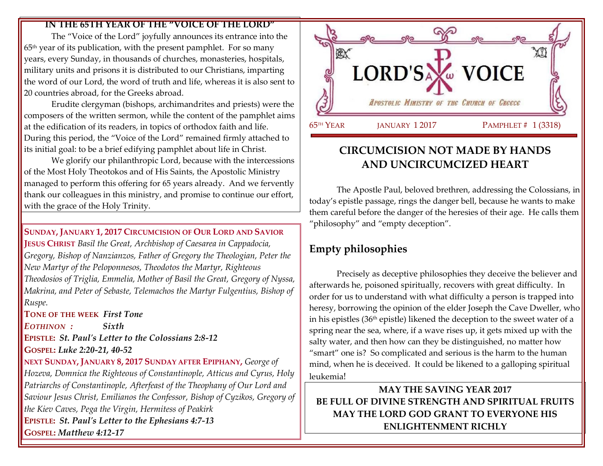#### **IN THE 65TH YEAR OF THE "VOICE OF THE LORD"**

The "Voice of the Lord" joyfully announces its entrance into the 65th year of its publication, with the present pamphlet. For so many years, every Sunday, in thousands of churches, monasteries, hospitals, military units and prisons it is distributed to our Christians, imparting the word of our Lord, the word of truth and life, whereas it is also sent to 20 countries abroad, for the Greeks abroad.

Erudite clergyman (bishops, archimandrites and priests) were the composers of the written sermon, while the content of the pamphlet aims at the edification of its readers, in topics of orthodox faith and life. During this period, the "Voice of the Lord" remained firmly attached to its initial goal: to be a brief edifying pamphlet about life in Christ.

We glorify our philanthropic Lord, because with the intercessions of the Most Holy Theotokos and of His Saints, the Apostolic Ministry managed to perform this offering for 65 years already. And we fervently thank our colleagues in this ministry, and promise to continue our effort, with the grace of the Holy Trinity.

**SUNDAY, JANUARY 1, 2017 CIRCUMCISION OF OUR LORD AND SAVIOR JESUS CHRIST** *Basil the Great, Archbishop of Caesarea in Cappadocia, Gregory, Bishop of Nanzianzos, Father of Gregory the Theologian, Peter the New Martyr of the Peloponnesos, Theodotos the Martyr, Righteous Theodosios of Triglia, Emmelia, Mother of Basil the Great, Gregory of Nyssa, Makrina, and Peter of Sebaste, Telemachos the Martyr Fulgentius, Bishop of Ruspe.*

**TONE OF THE WEEK** *First Tone*

*EOTHINON : Sixth* **EPISTLE:** *St. Paul's Letter to the Colossians 2:8-12* **GOSPEL:** *Luke 2:20-21, 40-52*

**NEXT SUNDAY, JANUARY 8, 2017 SUNDAY AFTER EPIPHANY,** *George of Hozeva, Domnica the Righteous of Constantinople, Atticus and Cyrus, Holy Patriarchs of Constantinople, Afterfeast of the Theophany of Our Lord and Saviour Jesus Christ, Emilianos the Confessor, Bishop of Cyzikos, Gregory of the Kiev Caves, Pega the Virgin, Hermitess of Peakirk* **EPISTLE:** *St. Paul's Letter to the Ephesians 4:7-13* **GOSPEL:** *Matthew 4:12-17*



## **CIRCUMCISION NOT MADE BY HANDS AND UNCIRCUMCIZED HEART**

The Apostle Paul, beloved brethren, addressing the Colossians, in today's epistle passage, rings the danger bell, because he wants to make them careful before the danger of the heresies of their age.He calls them "philosophy" and "empty deception".

# **Empty philosophies**

Precisely as deceptive philosophies they deceive the believer and afterwards he, poisoned spiritually, recovers with great difficulty. In order for us to understand with what difficulty a person is trapped into heresy, borrowing the opinion of the elder Joseph the Cave Dweller, who in his epistles (36th epistle) likened the deception to the sweet water of a spring near the sea, where, if a wave rises up, it gets mixed up with the salty water, and then how can they be distinguished, no matter how "smart" one is? So complicated and serious is the harm to the human mind, when he is deceived. It could be likened to a galloping spiritual leukemia!

**MAY THE SAVING YEAR 2017 BE FULL OF DIVINE STRENGTH AND SPIRITUAL FRUITS MAY THE LORD GOD GRANT TO EVERYONE HIS ENLIGHTENMENT RICHLY**